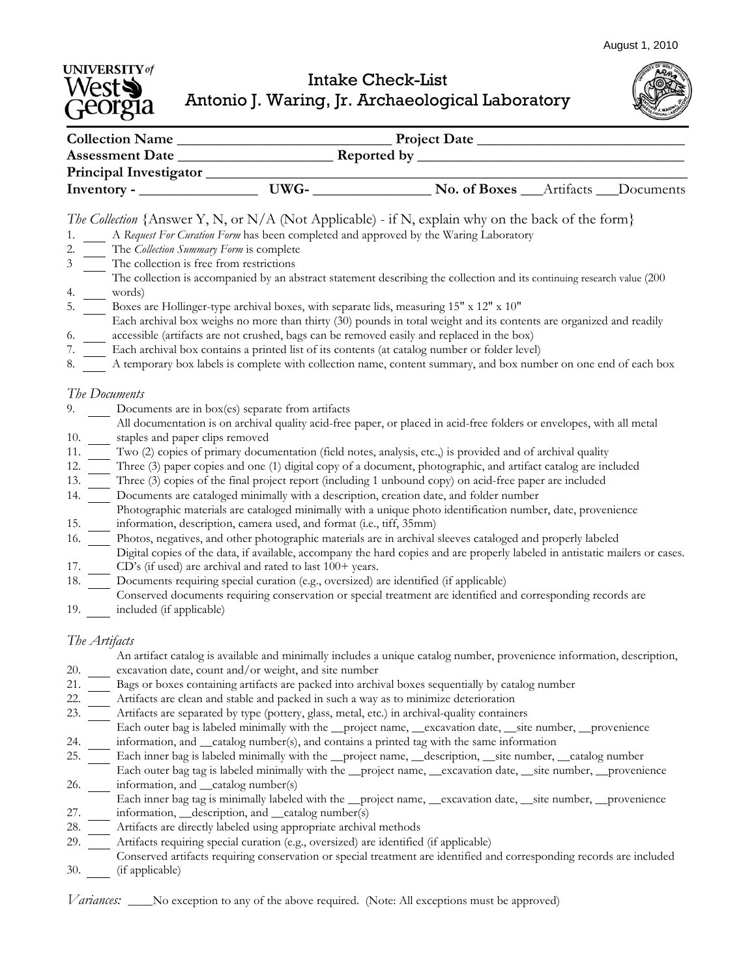August 1, 2010

## **UNIVERSITY** of Intake Check-List Antonio J. Waring, Jr. Archaeological Laboratory

| <b>Collection Name</b>        |      | <b>Project Date</b>                  |           |           |
|-------------------------------|------|--------------------------------------|-----------|-----------|
| <b>Assessment Date</b>        |      | Reported by $\overline{\phantom{a}}$ |           |           |
| <b>Principal Investigator</b> |      |                                      |           |           |
|                               | UWG- | No. of Boxes                         | Artifacts | Documents |

## *The Collection {*Answer Y, N, or N/A (Not Applicable) - if N, explain why on the back of the form}

- 1. A *Request For Curation Form* has been completed and approved by the Waring Laboratory
- 2. The *Collection Summary Form* is complete
- 3 The collection is free from restrictions
- The collection is accompanied by an abstract statement describing the collection and its continuing research value (200
- 4. words)
- 5. Boxes are Hollinger-type archival boxes, with separate lids, measuring 15" x 12" x 10"
- 6. Each archival box weighs no more than thirty (30) pounds in total weight and its contents are organized and readily accessible (artifacts are not crushed, bags can be removed easily and replaced in the box)
- 7. Each archival box contains a printed list of its contents (at catalog number or folder level)
- 8. A temporary box labels is complete with collection name, content summary, and box number on one end of each box

## *The Documents*

- 9. Documents are in box(es) separate from artifacts
- 10. All documentation is on archival quality acid-free paper, or placed in acid-free folders or envelopes, with all metal staples and paper clips removed
- 11. Two (2) copies of primary documentation (field notes, analysis, etc.,) is provided and of archival quality
- 12. Three (3) paper copies and one (1) digital copy of a document, photographic, and artifact catalog are included
- 13. Three (3) copies of the final project report (including 1 unbound copy) on acid-free paper are included
- 14. Documents are cataloged minimally with a description, creation date, and folder number
- Photographic materials are cataloged minimally with a unique photo identification number, date, provenience
- 15. information, description, camera used, and format (i.e., tiff, 35mm)

16. Photos, negatives, and other photographic materials are in archival sleeves cataloged and properly labeled

- Digital copies of the data, if available, accompany the hard copies and are properly labeled in antistatic mailers or cases.
- 17. CD's (if used) are archival and rated to last 100+ years.
- 18. Documents requiring special curation (e.g., oversized) are identified (if applicable)
- 19. included (if applicable) Conserved documents requiring conservation or special treatment are identified and corresponding records are

## *The Artifacts*

20.

An artifact catalog is available and minimally includes a unique catalog number, provenience information, description, excavation date, count and/or weight, and site number

- 21. Bags or boxes containing artifacts are packed into archival boxes sequentially by catalog number
- 22. Artifacts are clean and stable and packed in such a way as to minimize deterioration
- 23. Artifacts are separated by type (pottery, glass, metal, etc.) in archival-quality containers
- 24. Each outer bag is labeled minimally with the \_\_project name, \_\_excavation date, \_\_site number, \_\_provenience information, and \_\_catalog number(s), and contains a printed tag with the same information
- 25. Each inner bag is labeled minimally with the \_\_project name, \_\_description, \_\_site number, \_\_catalog number
- 26. Each outer bag tag is labeled minimally with the \_\_project name, \_\_excavation date, \_\_site number, \_\_provenience information, and \_\_catalog number(s)
- 27. Each inner bag tag is minimally labeled with the \_\_project name, \_\_excavation date, \_\_site number, \_\_provenience information, \_\_description, and \_\_catalog number(s)
- 28. Artifacts are directly labeled using appropriate archival methods
- 29. Artifacts requiring special curation (e.g., oversized) are identified (if applicable)
- 30. (if applicable) Conserved artifacts requiring conservation or special treatment are identified and corresponding records are included

*Variances:* \_\_\_\_No exception to any of the above required. (Note: All exceptions must be approved)